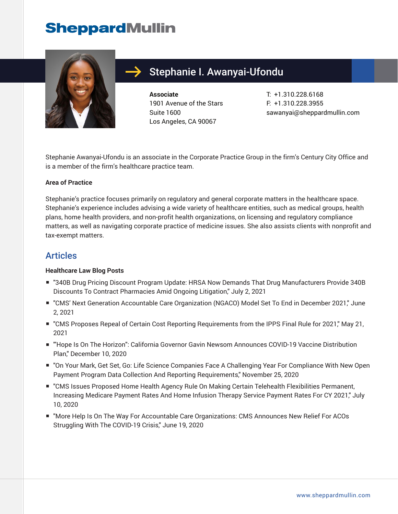## **SheppardMullin**



## Stephanie I. Awanyai-Ufondu

**Associate** 1901 Avenue of the Stars Suite 1600 Los Angeles, CA 90067

T: +1.310.228.6168 F: +1.310.228.3955 sawanyai@sheppardmullin.com

Stephanie Awanyai-Ufondu is an associate in the Corporate Practice Group in the firm's Century City Office and is a member of the firm's healthcare practice team.

#### **Area of Practice**

Stephanie's practice focuses primarily on regulatory and general corporate matters in the healthcare space. Stephanie's experience includes advising a wide variety of healthcare entities, such as medical groups, health plans, home health providers, and non-profit health organizations, on licensing and regulatory compliance matters, as well as navigating corporate practice of medicine issues. She also assists clients with nonprofit and tax-exempt matters.

#### Articles

#### **Healthcare Law Blog Posts**

- "340B Drug Pricing Discount Program Update: HRSA Now Demands That Drug Manufacturers Provide 340B Discounts To Contract Pharmacies Amid Ongoing Litigation," July 2, 2021
- "CMS' Next Generation Accountable Care Organization (NGACO) Model Set To End in December 2021," June 2, 2021
- "CMS Proposes Repeal of Certain Cost Reporting Requirements from the IPPS Final Rule for 2021," May 21, 2021
- "Hope Is On The Horizon": California Governor Gavin Newsom Announces COVID-19 Vaccine Distribution Plan," December 10, 2020
- "On Your Mark, Get Set, Go: Life Science Companies Face A Challenging Year For Compliance With New Open Payment Program Data Collection And Reporting Requirements," November 25, 2020
- "CMS Issues Proposed Home Health Agency Rule On Making Certain Telehealth Flexibilities Permanent, Increasing Medicare Payment Rates And Home Infusion Therapy Service Payment Rates For CY 2021," July 10, 2020
- "More Help Is On The Way For Accountable Care Organizations: CMS Announces New Relief For ACOs Struggling With The COVID-19 Crisis," June 19, 2020